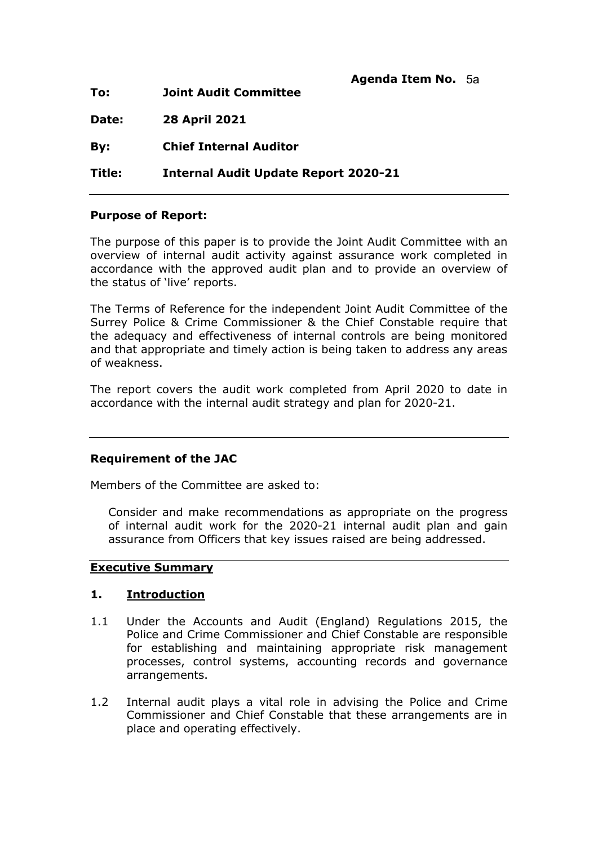| To:    | Agenda Item No. 5a<br><b>Joint Audit Committee</b> |  |
|--------|----------------------------------------------------|--|
| Date:  | <b>28 April 2021</b>                               |  |
| By:    | <b>Chief Internal Auditor</b>                      |  |
| Title: | <b>Internal Audit Update Report 2020-21</b>        |  |

#### **Purpose of Report:**

The purpose of this paper is to provide the Joint Audit Committee with an overview of internal audit activity against assurance work completed in accordance with the approved audit plan and to provide an overview of the status of 'live' reports.

The Terms of Reference for the independent Joint Audit Committee of the Surrey Police & Crime Commissioner & the Chief Constable require that the adequacy and effectiveness of internal controls are being monitored and that appropriate and timely action is being taken to address any areas of weakness.

The report covers the audit work completed from April 2020 to date in accordance with the internal audit strategy and plan for 2020-21.

#### **Requirement of the JAC**

Members of the Committee are asked to:

Consider and make recommendations as appropriate on the progress of internal audit work for the 2020-21 internal audit plan and gain assurance from Officers that key issues raised are being addressed.

#### **Executive Summary**

#### **1. Introduction**

- 1.1 Under the Accounts and Audit (England) Regulations 2015, the Police and Crime Commissioner and Chief Constable are responsible for establishing and maintaining appropriate risk management processes, control systems, accounting records and governance arrangements.
- 1.2 Internal audit plays a vital role in advising the Police and Crime Commissioner and Chief Constable that these arrangements are in place and operating effectively.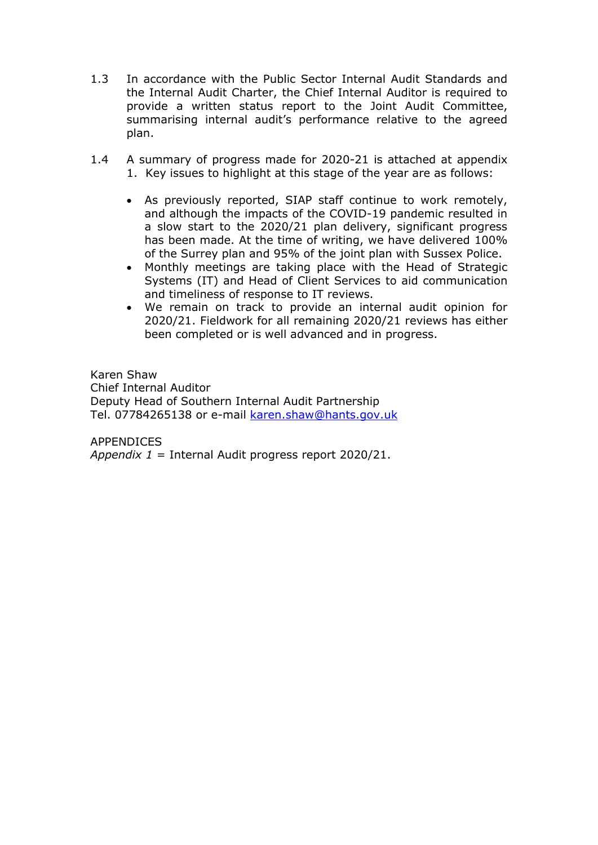- 1.3 In accordance with the Public Sector Internal Audit Standards and the Internal Audit Charter, the Chief Internal Auditor is required to provide a written status report to the Joint Audit Committee, summarising internal audit's performance relative to the agreed plan.
- 1.4 A summary of progress made for 2020-21 is attached at appendix 1. Key issues to highlight at this stage of the year are as follows:
	- As previously reported, SIAP staff continue to work remotely, and although the impacts of the COVID-19 pandemic resulted in a slow start to the 2020/21 plan delivery, significant progress has been made. At the time of writing, we have delivered 100% of the Surrey plan and 95% of the joint plan with Sussex Police.
	- Monthly meetings are taking place with the Head of Strategic Systems (IT) and Head of Client Services to aid communication and timeliness of response to IT reviews.
	- We remain on track to provide an internal audit opinion for 2020/21. Fieldwork for all remaining 2020/21 reviews has either been completed or is well advanced and in progress.

Karen Shaw Chief Internal Auditor Deputy Head of Southern Internal Audit Partnership Tel. 07784265138 or e-mail [karen.shaw@hants.gov.uk](mailto:karen.shaw@hants.gov.uk)

APPENDICES *Appendix 1* = Internal Audit progress report 2020/21.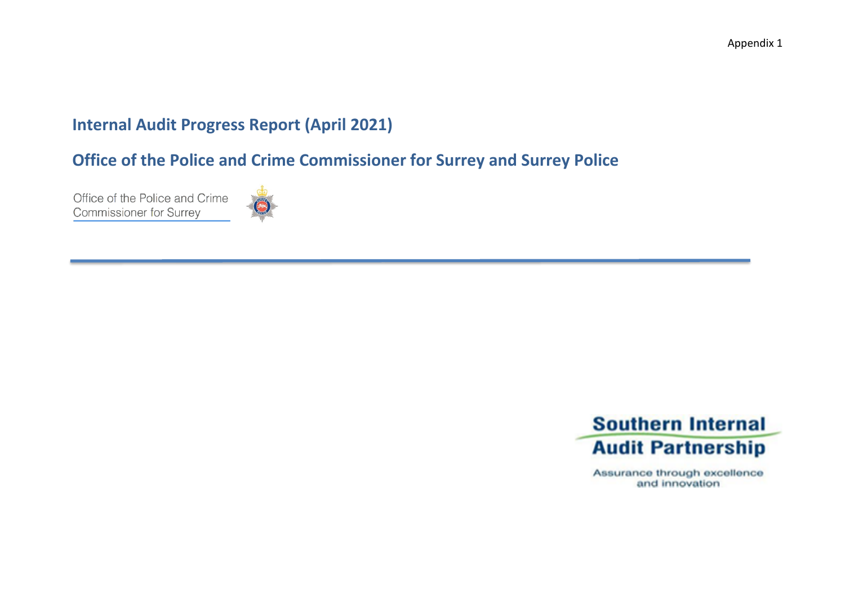# **Internal Audit Progress Report (April 2021)**

**Office of the Police and Crime Commissioner for Surrey and Surrey Police** 

Office of the Police and Crime **Commissioner for Surrey** 





Assurance through excellence and innovation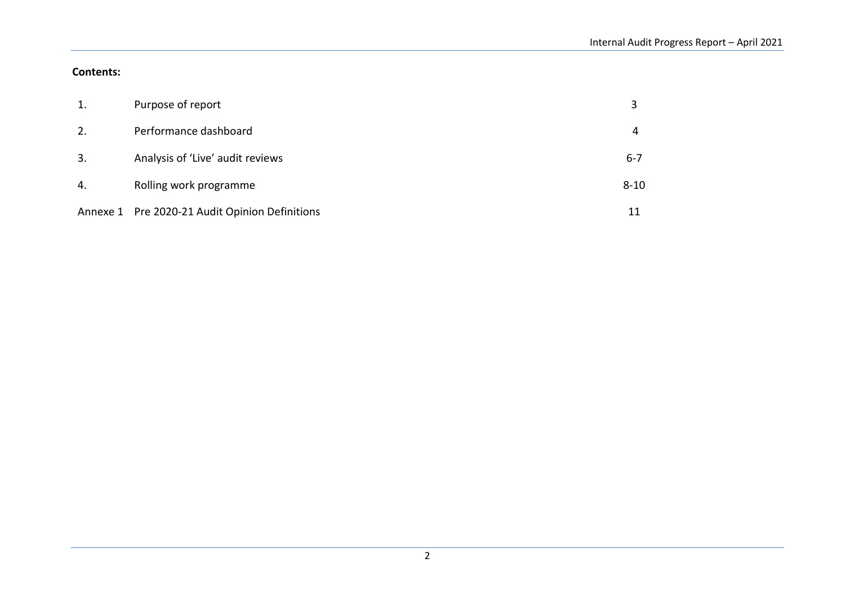#### **Contents:**

| 1. | Purpose of report                              |          |
|----|------------------------------------------------|----------|
|    | Performance dashboard                          |          |
| 3. | Analysis of 'Live' audit reviews               | $6 - 7$  |
| 4. | Rolling work programme                         | $8 - 10$ |
|    | Annexe 1 Pre 2020-21 Audit Opinion Definitions |          |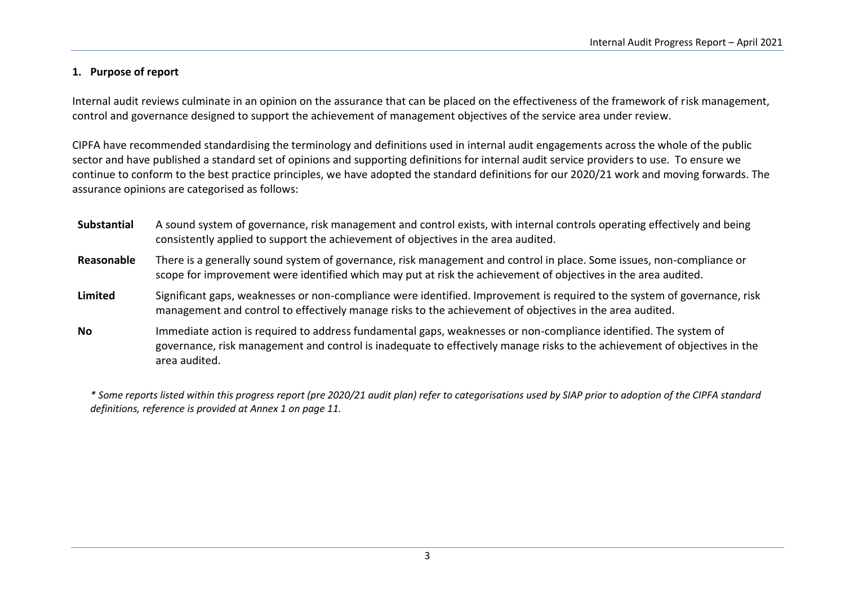#### **1. Purpose of report**

Internal audit reviews culminate in an opinion on the assurance that can be placed on the effectiveness of the framework of risk management, control and governance designed to support the achievement of management objectives of the service area under review.

CIPFA have recommended standardising the terminology and definitions used in internal audit engagements across the whole of the public sector and have published a standard set of opinions and supporting definitions for internal audit service providers to use. To ensure we continue to conform to the best practice principles, we have adopted the standard definitions for our 2020/21 work and moving forwards. The assurance opinions are categorised as follows:

**Substantial** A sound system of governance, risk management and control exists, with internal controls operating effectively and being consistently applied to support the achievement of objectives in the area audited. **Reasonable** There is a generally sound system of governance, risk management and control in place. Some issues, non-compliance or scope for improvement were identified which may put at risk the achievement of objectives in the area audited. **Limited** Significant gaps, weaknesses or non-compliance were identified. Improvement is required to the system of governance, risk management and control to effectively manage risks to the achievement of objectives in the area audited. **No** Immediate action is required to address fundamental gaps, weaknesses or non-compliance identified. The system of governance, risk management and control is inadequate to effectively manage risks to the achievement of objectives in the area audited.

*\* Some reports listed within this progress report (pre 2020/21 audit plan) refer to categorisations used by SIAP prior to adoption of the CIPFA standard definitions, reference is provided at Annex 1 on page 11.*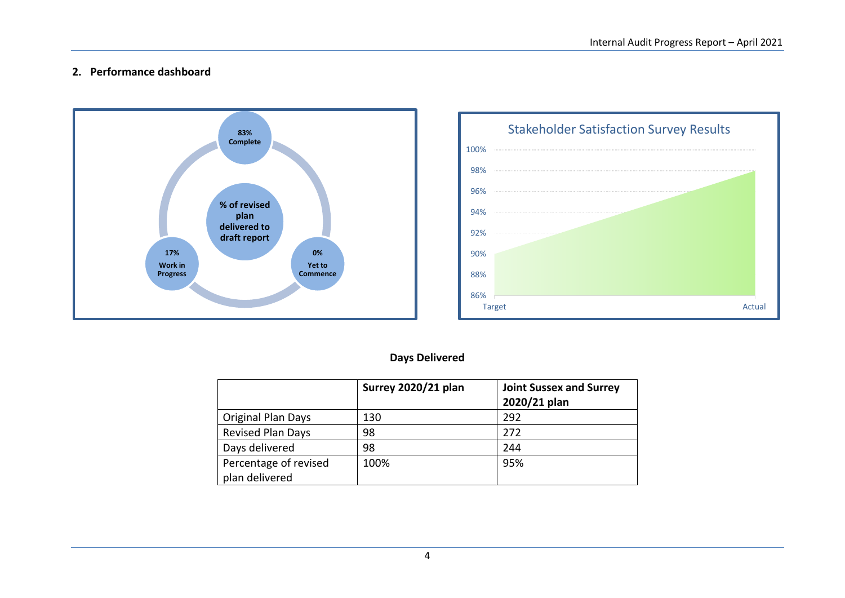#### **2. Performance dashboard**





### **Days Delivered**

|                           | Surrey 2020/21 plan | <b>Joint Sussex and Surrey</b><br>2020/21 plan |
|---------------------------|---------------------|------------------------------------------------|
| <b>Original Plan Days</b> | 130                 | 292                                            |
| <b>Revised Plan Days</b>  | 98                  | 272                                            |
| Days delivered            | 98                  | 244                                            |
| Percentage of revised     | 100%                | 95%                                            |
| plan delivered            |                     |                                                |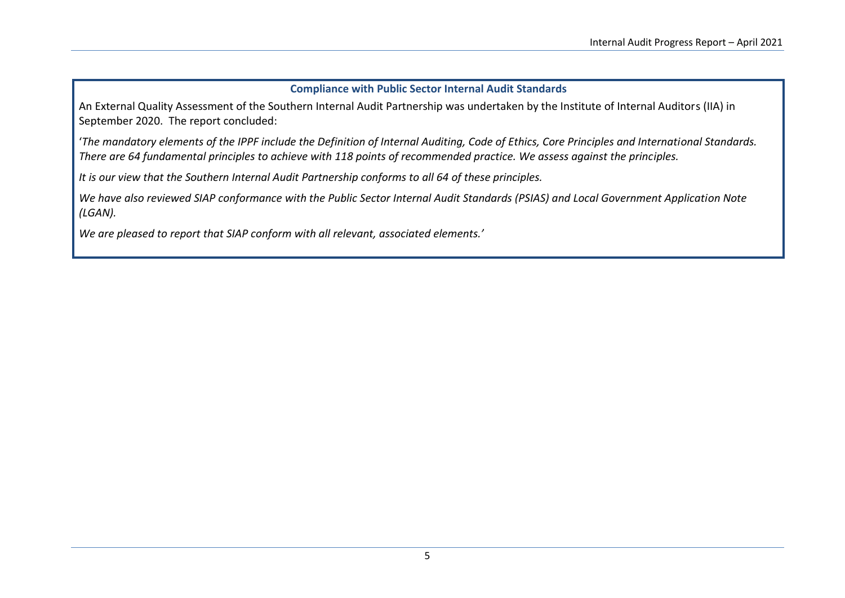#### **Compliance with Public Sector Internal Audit Standards**

An External Quality Assessment of the Southern Internal Audit Partnership was undertaken by the Institute of Internal Auditors (IIA) in September 2020. The report concluded:

'*The mandatory elements of the IPPF include the Definition of Internal Auditing, Code of Ethics, Core Principles and International Standards. There are 64 fundamental principles to achieve with 118 points of recommended practice. We assess against the principles.* 

*It is our view that the Southern Internal Audit Partnership conforms to all 64 of these principles.*

*We have also reviewed SIAP conformance with the Public Sector Internal Audit Standards (PSIAS) and Local Government Application Note (LGAN).* 

*We are pleased to report that SIAP conform with all relevant, associated elements.'*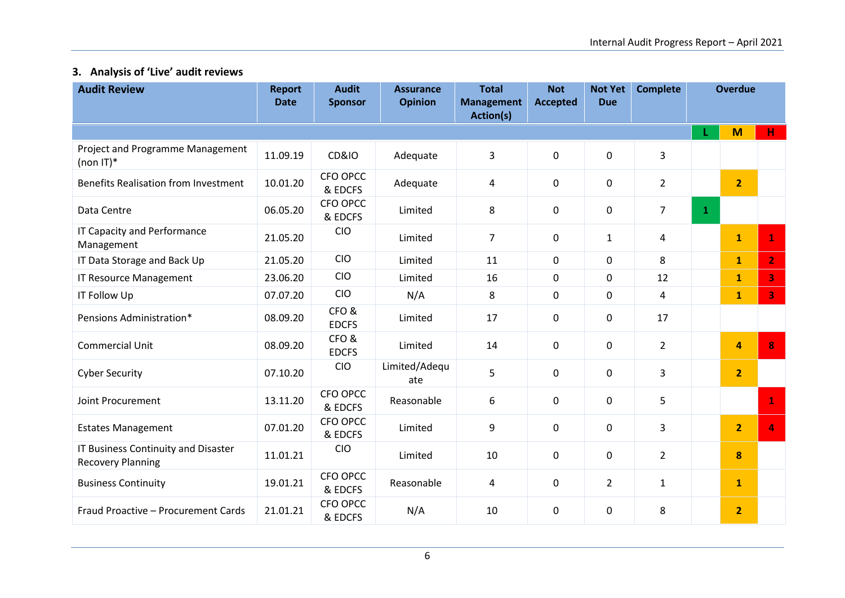# **3. Analysis of 'Live' audit reviews**

| <b>Audit Review</b>                                             | <b>Report</b><br><b>Date</b> | <b>Audit</b><br><b>Sponsor</b> | <b>Assurance</b><br><b>Opinion</b> | <b>Total</b><br><b>Management</b><br>Action(s) | <b>Not</b><br><b>Accepted</b> | <b>Not Yet</b><br><b>Due</b> | <b>Complete</b> | <b>Overdue</b> |                |                         |
|-----------------------------------------------------------------|------------------------------|--------------------------------|------------------------------------|------------------------------------------------|-------------------------------|------------------------------|-----------------|----------------|----------------|-------------------------|
|                                                                 |                              |                                |                                    |                                                |                               |                              |                 | L              | M              | $H$ .                   |
| Project and Programme Management<br>(non $ T ^*$                | 11.09.19                     | <b>CD&amp;IO</b>               | Adequate                           | 3                                              | 0                             | $\mathbf 0$                  | 3               |                |                |                         |
| <b>Benefits Realisation from Investment</b>                     | 10.01.20                     | CFO OPCC<br>& EDCFS            | Adequate                           | 4                                              | 0                             | 0                            | $\overline{2}$  |                | 2 <sup>1</sup> |                         |
| Data Centre                                                     | 06.05.20                     | CFO OPCC<br>& EDCFS            | Limited                            | 8                                              | 0                             | $\mathbf 0$                  | $\overline{7}$  | $\mathbf{1}$   |                |                         |
| IT Capacity and Performance<br>Management                       | 21.05.20                     | <b>CIO</b>                     | Limited                            | 7                                              | 0                             | $\mathbf{1}$                 | 4               |                | $\mathbf{1}$   | $\mathbf{1}$            |
| IT Data Storage and Back Up                                     | 21.05.20                     | CIO                            | Limited                            | 11                                             | 0                             | $\mathbf 0$                  | 8               |                | $\mathbf{1}$   | $\overline{2}$          |
| <b>IT Resource Management</b>                                   | 23.06.20                     | <b>CIO</b>                     | Limited                            | 16                                             | 0                             | $\mathbf 0$                  | 12              |                | $\mathbf{1}$   | $\overline{\mathbf{3}}$ |
| <b>IT Follow Up</b>                                             | 07.07.20                     | <b>CIO</b>                     | N/A                                | 8                                              | 0                             | 0                            | 4               |                | $\mathbf{1}$   | 3 <sup>°</sup>          |
| Pensions Administration*                                        | 08.09.20                     | CFO&<br><b>EDCFS</b>           | Limited                            | 17                                             | 0                             | $\mathbf 0$                  | 17              |                |                |                         |
| <b>Commercial Unit</b>                                          | 08.09.20                     | CFO&<br><b>EDCFS</b>           | Limited                            | 14                                             | 0                             | $\mathbf 0$                  | $\overline{2}$  |                | 4              | 8                       |
| <b>Cyber Security</b>                                           | 07.10.20                     | <b>CIO</b>                     | Limited/Adequ<br>ate               | 5                                              | 0                             | $\mathbf 0$                  | 3               |                | $\overline{2}$ |                         |
| Joint Procurement                                               | 13.11.20                     | CFO OPCC<br>& EDCFS            | Reasonable                         | 6                                              | 0                             | $\mathbf 0$                  | 5               |                |                | $\mathbf{1}$            |
| <b>Estates Management</b>                                       | 07.01.20                     | CFO OPCC<br>& EDCFS            | Limited                            | 9                                              | 0                             | $\mathbf 0$                  | 3               |                | $\overline{2}$ | 4                       |
| IT Business Continuity and Disaster<br><b>Recovery Planning</b> | 11.01.21                     | <b>CIO</b>                     | Limited                            | 10                                             | 0                             | $\mathbf 0$                  | $\overline{2}$  |                | 8              |                         |
| <b>Business Continuity</b>                                      | 19.01.21                     | CFO OPCC<br>& EDCFS            | Reasonable                         | 4                                              | 0                             | $\overline{2}$               | $\mathbf{1}$    |                | $\mathbf{1}$   |                         |
| Fraud Proactive - Procurement Cards                             | 21.01.21                     | CFO OPCC<br>& EDCFS            | N/A                                | 10                                             | 0                             | $\mathbf 0$                  | 8               |                | $\overline{2}$ |                         |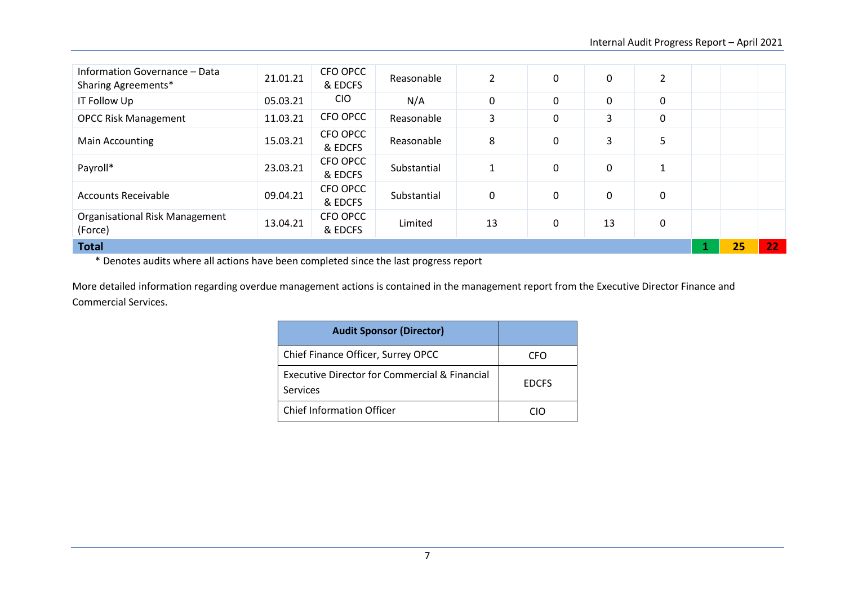| Information Governance - Data<br>Sharing Agreements* | 21.01.21 | CFO OPCC<br>& EDCFS | Reasonable  | $\overline{2}$ | 0 | $\pmb{0}$ | $\overline{2}$ |    |                 |
|------------------------------------------------------|----------|---------------------|-------------|----------------|---|-----------|----------------|----|-----------------|
| IT Follow Up                                         | 05.03.21 | <b>CIO</b>          | N/A         | 0              | 0 | 0         | 0              |    |                 |
| <b>OPCC Risk Management</b>                          | 11.03.21 | CFO OPCC            | Reasonable  | 3              | 0 | 3         | 0              |    |                 |
| Main Accounting                                      | 15.03.21 | CFO OPCC<br>& EDCFS | Reasonable  | 8              | 0 | 3         | 5              |    |                 |
| Payroll*                                             | 23.03.21 | CFO OPCC<br>& EDCFS | Substantial | 1              | 0 | 0         | 1              |    |                 |
| <b>Accounts Receivable</b>                           | 09.04.21 | CFO OPCC<br>& EDCFS | Substantial | 0              | 0 | 0         | $\mathbf 0$    |    |                 |
| <b>Organisational Risk Management</b><br>(Force)     | 13.04.21 | CFO OPCC<br>& EDCFS | Limited     | 13             | 0 | 13        | 0              |    |                 |
| <b>Total</b>                                         |          |                     |             |                |   |           |                | 25 | 22 <sub>1</sub> |

\* Denotes audits where all actions have been completed since the last progress report

More detailed information regarding overdue management actions is contained in the management report from the Executive Director Finance and Commercial Services.

| <b>Audit Sponsor (Director)</b>                           |              |
|-----------------------------------------------------------|--------------|
| Chief Finance Officer, Surrey OPCC                        | CΕO          |
| Executive Director for Commercial & Financial<br>Services | <b>EDCFS</b> |
| <b>Chief Information Officer</b>                          |              |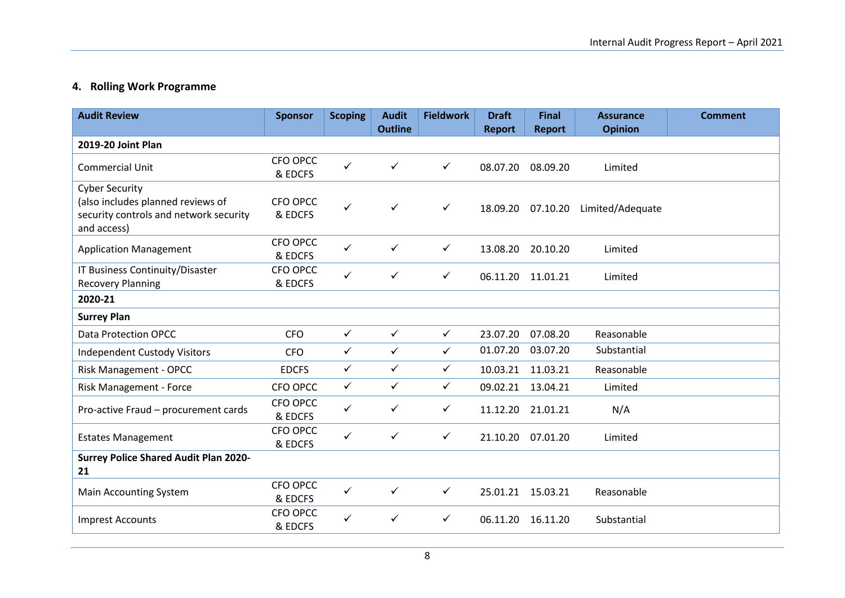# **4. Rolling Work Programme**

| <b>Audit Review</b>                                                                                                 | <b>Sponsor</b>      | <b>Scoping</b> | <b>Audit</b><br><b>Outline</b> | <b>Fieldwork</b> | <b>Draft</b><br><b>Report</b> | <b>Final</b><br><b>Report</b> | <b>Assurance</b><br><b>Opinion</b> | <b>Comment</b> |
|---------------------------------------------------------------------------------------------------------------------|---------------------|----------------|--------------------------------|------------------|-------------------------------|-------------------------------|------------------------------------|----------------|
| 2019-20 Joint Plan                                                                                                  |                     |                |                                |                  |                               |                               |                                    |                |
| <b>Commercial Unit</b>                                                                                              | CFO OPCC<br>& EDCFS | $\checkmark$   | ✓                              | $\checkmark$     | 08.07.20                      | 08.09.20                      | Limited                            |                |
| <b>Cyber Security</b><br>(also includes planned reviews of<br>security controls and network security<br>and access) | CFO OPCC<br>& EDCFS | $\checkmark$   | $\checkmark$                   | $\checkmark$     | 18.09.20                      | 07.10.20                      | Limited/Adequate                   |                |
| <b>Application Management</b>                                                                                       | CFO OPCC<br>& EDCFS | ✓              | ✓                              | $\checkmark$     | 13.08.20                      | 20.10.20                      | Limited                            |                |
| IT Business Continuity/Disaster<br><b>Recovery Planning</b>                                                         | CFO OPCC<br>& EDCFS | $\checkmark$   | ✓                              | $\checkmark$     | 06.11.20                      | 11.01.21                      | Limited                            |                |
| 2020-21                                                                                                             |                     |                |                                |                  |                               |                               |                                    |                |
| <b>Surrey Plan</b>                                                                                                  |                     |                |                                |                  |                               |                               |                                    |                |
| <b>Data Protection OPCC</b>                                                                                         | <b>CFO</b>          | $\checkmark$   | $\checkmark$                   | $\checkmark$     | 23.07.20                      | 07.08.20                      | Reasonable                         |                |
| <b>Independent Custody Visitors</b>                                                                                 | <b>CFO</b>          | $\checkmark$   | $\checkmark$                   | $\checkmark$     | 01.07.20                      | 03.07.20                      | Substantial                        |                |
| Risk Management - OPCC                                                                                              | <b>EDCFS</b>        | $\checkmark$   | $\checkmark$                   | $\checkmark$     | 10.03.21                      | 11.03.21                      | Reasonable                         |                |
| Risk Management - Force                                                                                             | CFO OPCC            | $\checkmark$   | $\checkmark$                   | $\checkmark$     | 09.02.21 13.04.21             |                               | Limited                            |                |
| Pro-active Fraud - procurement cards                                                                                | CFO OPCC<br>& EDCFS | ✓              | $\checkmark$                   | $\checkmark$     | 11.12.20                      | 21.01.21                      | N/A                                |                |
| <b>Estates Management</b>                                                                                           | CFO OPCC<br>& EDCFS | ✓              | $\checkmark$                   | $\checkmark$     | 21.10.20                      | 07.01.20                      | Limited                            |                |
| <b>Surrey Police Shared Audit Plan 2020-</b><br>21                                                                  |                     |                |                                |                  |                               |                               |                                    |                |
| <b>Main Accounting System</b>                                                                                       | CFO OPCC<br>& EDCFS | $\checkmark$   | ✓                              | $\checkmark$     | 25.01.21 15.03.21             |                               | Reasonable                         |                |
| <b>Imprest Accounts</b>                                                                                             | CFO OPCC<br>& EDCFS | ✓              | ✓                              | $\checkmark$     | 06.11.20                      | 16.11.20                      | Substantial                        |                |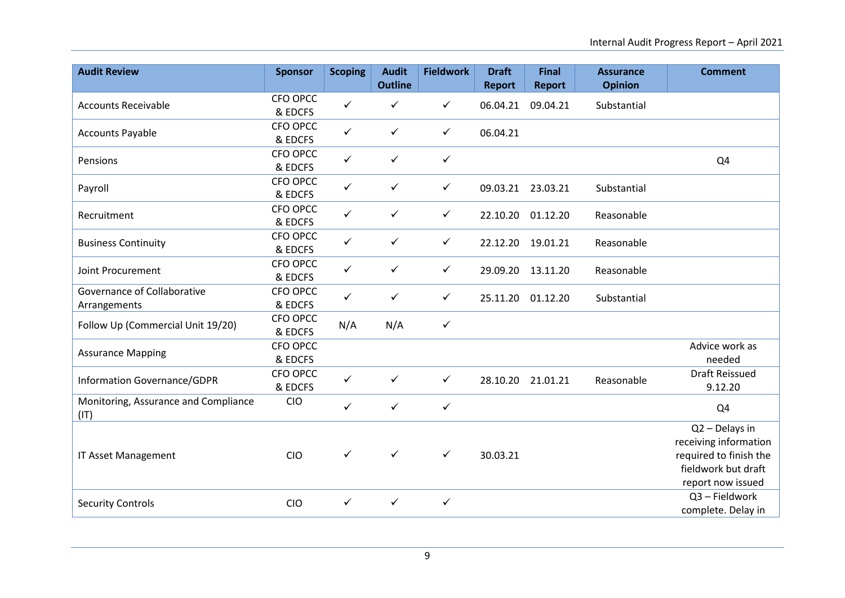| <b>Audit Review</b>                          | <b>Sponsor</b>      | <b>Scoping</b> | <b>Audit</b>   | <b>Fieldwork</b> | <b>Draft</b>  | <b>Final</b>  | <b>Assurance</b> | <b>Comment</b>                                                                                                |
|----------------------------------------------|---------------------|----------------|----------------|------------------|---------------|---------------|------------------|---------------------------------------------------------------------------------------------------------------|
|                                              |                     |                | <b>Outline</b> |                  | <b>Report</b> | <b>Report</b> | <b>Opinion</b>   |                                                                                                               |
| <b>Accounts Receivable</b>                   | CFO OPCC<br>& EDCFS | $\checkmark$   | $\checkmark$   | $\checkmark$     | 06.04.21      | 09.04.21      | Substantial      |                                                                                                               |
| <b>Accounts Payable</b>                      | CFO OPCC<br>& EDCFS | $\checkmark$   | $\checkmark$   | ✓                | 06.04.21      |               |                  |                                                                                                               |
| Pensions                                     | CFO OPCC<br>& EDCFS | $\checkmark$   | $\checkmark$   | $\checkmark$     |               |               |                  | Q4                                                                                                            |
| Payroll                                      | CFO OPCC<br>& EDCFS | $\checkmark$   | $\checkmark$   | ✓                | 09.03.21      | 23.03.21      | Substantial      |                                                                                                               |
| Recruitment                                  | CFO OPCC<br>& EDCFS | $\checkmark$   | $\checkmark$   | $\checkmark$     | 22.10.20      | 01.12.20      | Reasonable       |                                                                                                               |
| <b>Business Continuity</b>                   | CFO OPCC<br>& EDCFS | $\checkmark$   | $\checkmark$   | $\checkmark$     | 22.12.20      | 19.01.21      | Reasonable       |                                                                                                               |
| Joint Procurement                            | CFO OPCC<br>& EDCFS | $\checkmark$   | $\checkmark$   | $\checkmark$     | 29.09.20      | 13.11.20      | Reasonable       |                                                                                                               |
| Governance of Collaborative<br>Arrangements  | CFO OPCC<br>& EDCFS | $\checkmark$   | $\checkmark$   | $\checkmark$     | 25.11.20      | 01.12.20      | Substantial      |                                                                                                               |
| Follow Up (Commercial Unit 19/20)            | CFO OPCC<br>& EDCFS | N/A            | N/A            | ✓                |               |               |                  |                                                                                                               |
| <b>Assurance Mapping</b>                     | CFO OPCC<br>& EDCFS |                |                |                  |               |               |                  | Advice work as<br>needed                                                                                      |
| Information Governance/GDPR                  | CFO OPCC<br>& EDCFS | $\checkmark$   | $\checkmark$   | $\checkmark$     | 28.10.20      | 21.01.21      | Reasonable       | <b>Draft Reissued</b><br>9.12.20                                                                              |
| Monitoring, Assurance and Compliance<br>(IT) | <b>CIO</b>          | $\checkmark$   | $\checkmark$   | $\checkmark$     |               |               |                  | Q4                                                                                                            |
| IT Asset Management                          | <b>CIO</b>          | $\checkmark$   | $\checkmark$   | $\checkmark$     | 30.03.21      |               |                  | Q2 - Delays in<br>receiving information<br>required to finish the<br>fieldwork but draft<br>report now issued |
| <b>Security Controls</b>                     | <b>CIO</b>          | $\checkmark$   | $\checkmark$   | $\checkmark$     |               |               |                  | Q3 - Fieldwork<br>complete. Delay in                                                                          |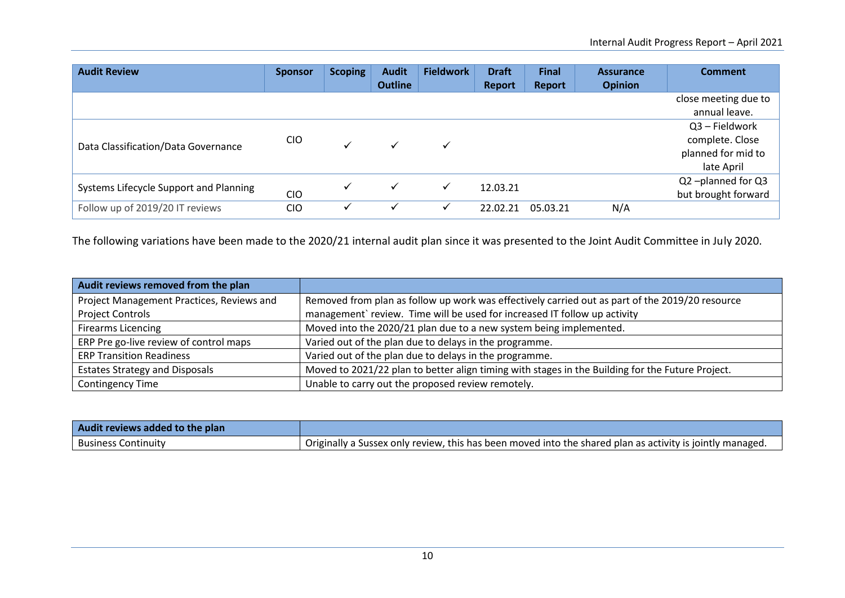| <b>Audit Review</b>                    | <b>Sponsor</b> | <b>Scoping</b> | <b>Audit</b>   | <b>Fieldwork</b> | <b>Draft</b>  | <b>Final</b> | <b>Assurance</b> | <b>Comment</b>       |                 |
|----------------------------------------|----------------|----------------|----------------|------------------|---------------|--------------|------------------|----------------------|-----------------|
|                                        |                |                | <b>Outline</b> |                  | <b>Report</b> | Report       | <b>Opinion</b>   |                      |                 |
|                                        |                |                |                |                  |               |              |                  | close meeting due to |                 |
|                                        |                |                |                |                  |               |              |                  | annual leave.        |                 |
|                                        |                |                |                |                  |               |              |                  | Q3 - Fieldwork       |                 |
| Data Classification/Data Governance    | <b>CIO</b>     |                | ✓              | $\checkmark$     |               |              |                  |                      | complete. Close |
|                                        |                |                |                |                  |               |              |                  | planned for mid to   |                 |
|                                        |                |                |                |                  |               |              |                  | late April           |                 |
|                                        |                |                |                | ✓                | 12.03.21      |              |                  | Q2-planned for Q3    |                 |
| Systems Lifecycle Support and Planning | <b>CIO</b>     |                |                |                  |               |              |                  | but brought forward  |                 |
| Follow up of 2019/20 IT reviews        | <b>CIO</b>     |                |                | $\checkmark$     | 22.02.21      | 05.03.21     | N/A              |                      |                 |

The following variations have been made to the 2020/21 internal audit plan since it was presented to the Joint Audit Committee in July 2020.

| Audit reviews removed from the plan       |                                                                                                  |
|-------------------------------------------|--------------------------------------------------------------------------------------------------|
| Project Management Practices, Reviews and | Removed from plan as follow up work was effectively carried out as part of the 2019/20 resource  |
| <b>Project Controls</b>                   | management` review. Time will be used for increased IT follow up activity                        |
| <b>Firearms Licencing</b>                 | Moved into the 2020/21 plan due to a new system being implemented.                               |
| ERP Pre go-live review of control maps    | Varied out of the plan due to delays in the programme.                                           |
| <b>ERP Transition Readiness</b>           | Varied out of the plan due to delays in the programme.                                           |
| <b>Estates Strategy and Disposals</b>     | Moved to 2021/22 plan to better align timing with stages in the Building for the Future Project. |
| <b>Contingency Time</b>                   | Unable to carry out the proposed review remotely.                                                |

| Audit reviews added to the plan |                                                                                                            |
|---------------------------------|------------------------------------------------------------------------------------------------------------|
| <b>Business Continuity</b>      | . Originally a Sussex only review, this has been moved into the shared plan as activity is jointly managed |